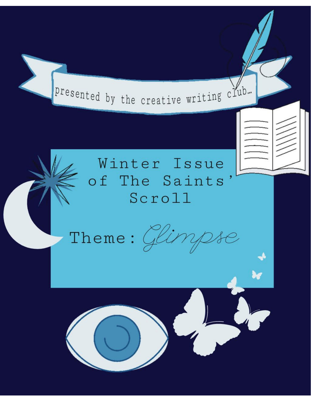Presented by the creative writing club.

# Winter Issue of The Saints Scroll

Theme:  $\mathbb{C}$ ir  $\overline{O}$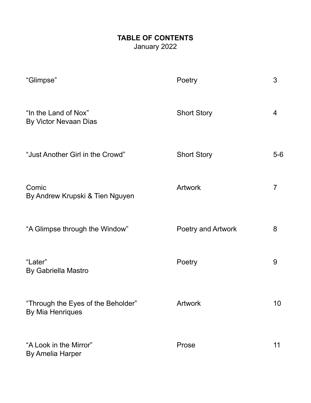## **TABLE OF CONTENTS** January 2022

| "Glimpse"                                              | Poetry             | 3              |
|--------------------------------------------------------|--------------------|----------------|
| "In the Land of Nox"<br>By Victor Nevaan Dias          | <b>Short Story</b> | 4              |
| "Just Another Girl in the Crowd"                       | <b>Short Story</b> | $5-6$          |
| Comic<br>By Andrew Krupski & Tien Nguyen               | <b>Artwork</b>     | $\overline{7}$ |
| "A Glimpse through the Window"                         | Poetry and Artwork | 8              |
| "Later"<br>By Gabriella Mastro                         | Poetry             | 9              |
| "Through the Eyes of the Beholder"<br>By Mia Henriques | Artwork            | 10             |
| "A Look in the Mirror"<br><b>By Amelia Harper</b>      | Prose              | 11             |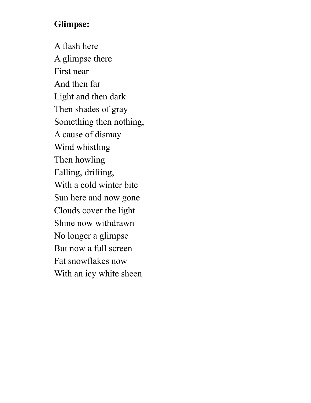# **Glimpse:**

A flash here A glimpse there First near And then far Light and then dark Then shades of gray Something then nothing, A cause of dismay Wind whistling Then howling Falling, drifting, With a cold winter bite Sun here and now gone Clouds cover the light Shine now withdrawn No longer a glimpse But now a full screen Fat snowflakes now With an icy white sheen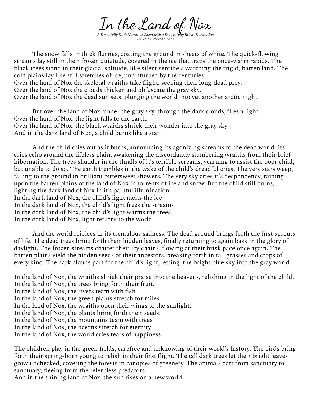In the Land of Nox

*A Dreadfully Dark Narrative Poem with a Delightfully Bright Dissolution By Victor Nevaan Dias*

The snow falls in thick flurries, coating the ground in sheets of white. The quick-flowing streams lay still in their frozen quietude, covered in the ice that traps the once-warm rapids. The black trees stand in their glacial solitude, like silent sentinels watching the frigid, barren land. The cold plains lay like still stretches of ice, undisturbed by the centuries. Over the land of Nox the skeletal wraiths take flight, seeking their long-dead prey. Over the land of Nox the clouds thicken and obfuscate the gray sky. Over the land of Nox the dead sun sets, plunging the world into yet another arctic night.

But over the land of Nox, under the gray sky, through the dark clouds, flies a light. Over the land of Nox, the light falls to the earth. Over the land of Nox, the black wraiths shriek their wonder into the gray sky. And in the dark land of Nox, a child burns like a star.

And the child cries out as it burns, announcing its agonizing screams to the dead world. Its cries echo around the lifeless plain, awakening the discordantly slumbering wraiths from their brief hibernation. The trees shudder in the thralls of it's terrible screams, yearning to assist the poor child, but unable to do so. The earth trembles in the wake of the child's dreadful cries. The very stars weep, falling to the ground in brilliant bittersweet showers. The very sky cries it's despondency, raining upon the barren plains of the land of Nox in torrents of ice and snow. But the child still burns, lighting the dark land of Nox in it's painful illumination. In the dark land of Nox, the child's light melts the ice In the dark land of Nox, the child's light frees the streams In the dark land of Nox, the child's light warms the trees In the dark land of Nox, light returns to the world

And the world rejoices in its tremulous sadness. The dead ground brings forth the first sprouts of life. The dead trees bring forth their hidden leaves, finally returning to again bask in the glory of daylight. The frozen streams chatter their icy chains, flowing at their brisk pace once again. The barren plains yield the hidden seeds of their ancestors, breaking forth in tall grasses and crops of every kind. The dark clouds part for the child's light, letting the bright blue sky into the gray world.

In the land of Nox, the wraiths shriek their praise into the heavens, relishing in the light of the child. In the land of Nox, the trees bring forth their fruit. In the land of Nox, the rivers team with fish In the land of Nox, the green plains stretch for miles. In the land of Nox, the wraiths open their wings to the sunlight. In the land of Nox, the plants bring forth their seeds. In the land of Nox, the mountains team with trees In the land of Nox, the oceans stretch for eternity In the land of Nox, the world cries tears of happiness.

The children play in the green fields, carefree and unknowing of their world's history. The birds bring forth their spring-born young to relish in their first flight. The tall dark trees let their bright leaves grow unchecked, covering the forests in canopies of greenery. The animals dart from sanctuary to sanctuary, fleeing from the relentless predators.

And in the shining land of Nox, the sun rises on a new world.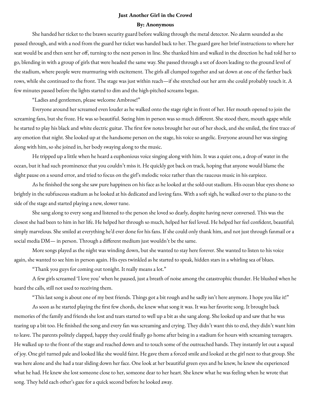#### **Just Another Girl in the Crowd**

#### **By: Anonymous**

She handed her ticket to the brawn security guard before walking through the metal detector. No alarm sounded as she passed through, and with a nod from the guard her ticket was handed back to her. The guard gave her brief instructions to where her seat would be and then sent her off, turning to the next person in line. She thanked him and walked in the direction he had told her to go, blending in with a group of girls that were headed the same way. She passed through a set of doors leading to the ground level of the stadium, where people were murmuring with excitement. The girls all clumped together and sat down at one of the farther back rows, while she continued to the front. The stage was just within reach—if she stretched out her arm she could probably touch it. A few minutes passed before the lights started to dim and the high-pitched screams began.

"Ladies and gentlemen, please welcome Ambrose!"

Everyone around her screamed even louder as he walked onto the stage right in front of her. Her mouth opened to join the screaming fans, but she froze. He was so beautiful. Seeing him in person was so much different. She stood there, mouth agape while he started to play his black and white electric guitar. The first few notes brought her out of her shock, and she smiled, the first trace of any emotion that night. She looked up at the handsome person on the stage, his voice so angelic. Everyone around her was singing along with him, so she joined in, her body swaying along to the music.

He tripped up a little when he heard a euphonious voice singing along with him. It was a quiet one, a drop of water in the ocean, but it had such prominence that you couldn't miss it. He quickly got back on track, hoping that anyone would blame the slight pause on a sound error, and tried to focus on the girl's melodic voice rather than the raucous music in his earpiece.

As he finished the song she saw pure happiness on his face as he looked at the sold-out stadium. His ocean blue eyes shone so brightly in the subfuscous stadium as he looked at his dedicated and loving fans. With a soft sigh, he walked over to the piano to the side of the stage and started playing a new, slower tune.

She sang along to every song and listened to the person she loved so dearly, despite having never conversed. This was the closest she had been to him in her life. He helped her through so much, helped her feel loved. He helped her feel confident, beautiful; simply marvelous. She smiled at everything he'd ever done for his fans. If she could only thank him, and not just through fanmail or a social media DM— in person. Through a different medium just wouldn't be the same.

More songs played as the night was winding down, but she wanted to stay here forever. She wanted to listen to his voice again, she wanted to see him in person again. His eyes twinkled as he started to speak, hidden stars in a whirling sea of blues.

"Thank you guys for coming out tonight. It really means a lot."

A few girls screamed 'I love you' when he paused, just a breath of noise among the catastrophic thunder. He blushed when he heard the calls, still not used to receiving them.

"This last song is about one of my best friends. Things got a bit rough and he sadly isn't here anymore. I hope you like it!"

As soon as he started playing the first few chords, she knew what song it was. It was her favorite song. It brought back memories of the family and friends she lost and tears started to well up a bit as she sang along. She looked up and saw that he was tearing up a bit too. He finished the song and every fan was screaming and crying. They didn't want this to end, they didn't want him to leave. The parents politely clapped, happy they could finally go home after being in a stadium for hours with screaming teenagers. He walked up to the front of the stage and reached down and to touch some of the outreached hands. They instantly let out a squeal of joy. One girl turned pale and looked like she would faint. He gave them a forced smile and looked at the girl next to that group. She was here alone and she had a tear sliding down her face. One look at her beautiful green eyes and he knew, he knew she experienced what he had. He knew she lost someone close to her, someone dear to her heart. She knew what he was feeling when he wrote that song. They held each other's gaze for a quick second before he looked away.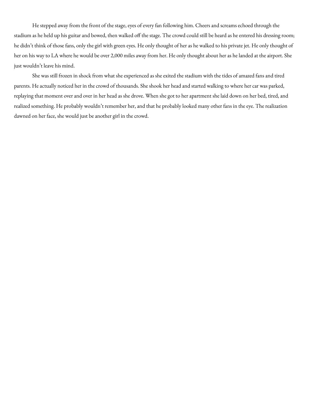He stepped away from the front of the stage, eyes of every fan following him. Cheers and screams echoed through the stadium as he held up his guitar and bowed, then walked off the stage. The crowd could still be heard as he entered his dressing room; he didn't think of those fans, only the girl with green eyes. He only thought of her as he walked to his private jet. He only thought of her on his way to LA where he would be over 2,000 miles away from her. He only thought about her as he landed at the airport. She just wouldn't leave his mind.

She was still frozen in shock from what she experienced as she exited the stadium with the tides of amazed fans and tired parents. He actually noticed her in the crowd of thousands. She shook her head and started walking to where her car was parked, replaying that moment over and over in her head as she drove. When she got to her apartment she laid down on her bed, tired, and realized something. He probably wouldn't remember her, and that he probably looked many other fans in the eye. The realization dawned on her face, she would just be another girl in the crowd.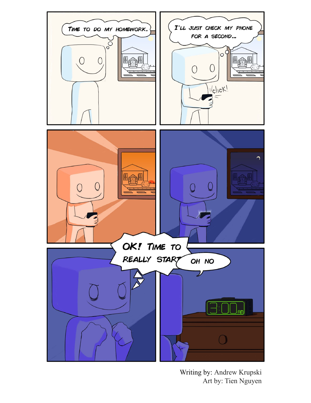

Writing by: Andrew Krupski Art by: Tien Nguyen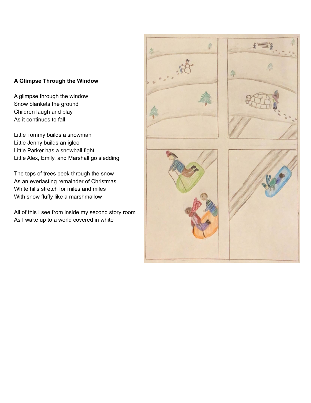### **A Glimpse Through the Window**

A glimpse through the window Snow blankets the ground Children laugh and play As it continues to fall

Little Tommy builds a snowman Little Jenny builds an igloo Little Parker has a snowball fight Little Alex, Emily, and Marshall go sledding

The tops of trees peek through the snow As an everlasting remainder of Christmas White hills stretch for miles and miles With snow fluffy like a marshmallow

All of this I see from inside my second story room As I wake up to a world covered in white

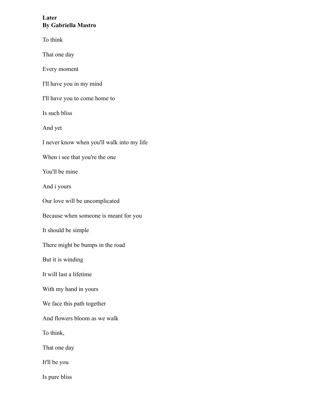### **Later By Gabriella Mastro**

To think

That one day

Every moment

I'll have you in my mind

I'll have you to come home to

Is such bliss

And yet

I never know when you'll walk into my life

When i see that you're the one

You'll be mine

And i yours

Our love will be uncomplicated

Because when someone is meant for you

It should be simple

There might be bumps in the road

But it is winding

It will last a lifetime

With my hand in yours

We face this path together

And flowers bloom as we walk

To think,

That one day

It'll be you

Is pure bliss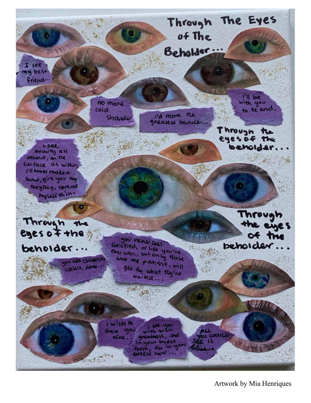

Artwork by Mia Henriques